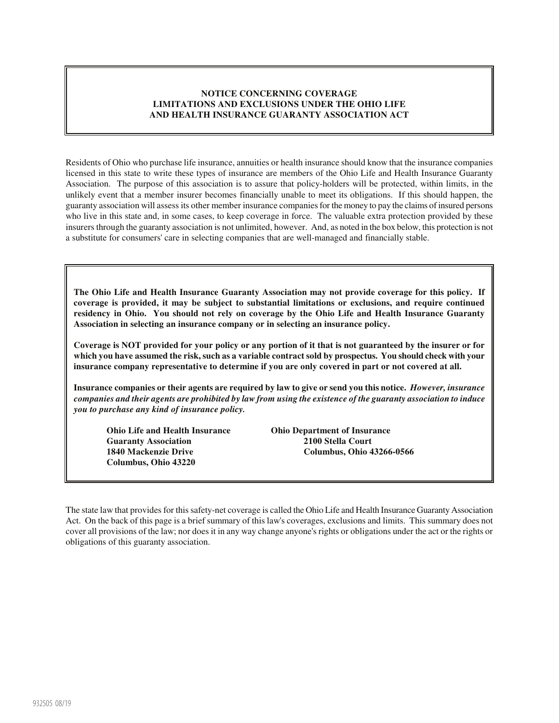## **NOTICE CONCERNING COVERAGE LIMITATIONS AND EXCLUSIONS UNDER THE OHIO LIFE AND HEALTH INSURANCE GUARANTY ASSOCIATION ACT**

Residents of Ohio who purchase life insurance, annuities or health insurance should know that the insurance companies licensed in this state to write these types of insurance are members of the Ohio Life and Health Insurance Guaranty Association. The purpose of this association is to assure that policy-holders will be protected, within limits, in the unlikely event that a member insurer becomes financially unable to meet its obligations. If this should happen, the guaranty association will assess its other member insurance companies for the money to pay the claims of insured persons who live in this state and, in some cases, to keep coverage in force. The valuable extra protection provided by these insurers through the guaranty association is not unlimited, however. And, as noted in the box below, this protection is not a substitute for consumers' care in selecting companies that are well-managed and financially stable.

**The Ohio Life and Health Insurance Guaranty Association may not provide coverage for this policy. If coverage is provided, it may be subject to substantial limitations or exclusions, and require continued residency in Ohio. You should not rely on coverage by the Ohio Life and Health Insurance Guaranty Association in selecting an insurance company or in selecting an insurance policy.** 

**Coverage is NOT provided for your policy or any portion of it that is not guaranteed by the insurer or for which you have assumed the risk, such as a variable contract sold by prospectus. You should check with your insurance company representative to determine if you are only covered in part or not covered at all.** 

**Insurance companies or their agents are required by law to give or send you this notice.** *However, insurance companies and their agents are prohibited by law from using the existence of the guaranty association to induce you to purchase any kind of insurance policy.*

**Ohio Life and Health Insurance Ohio Department of Insurance Guaranty Association 2100 Stella Court Columbus, Ohio 43220** 

**1840 Mackenzie Drive Columbus, Ohio 43266-0566** 

The state law that provides for this safety-net coverage is called the Ohio Life and Health Insurance Guaranty Association Act. On the back of this page is a brief summary of this law's coverages, exclusions and limits. This summary does not cover all provisions of the law; nor does it in any way change anyone's rights or obligations under the act or the rights or obligations of this guaranty association.